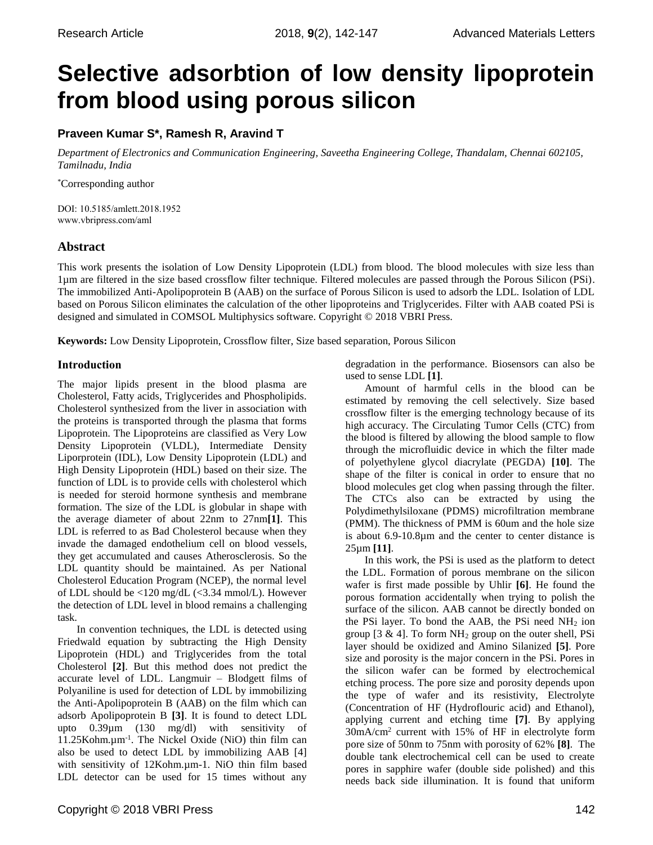# **Selective adsorbtion of low density lipoprotein from blood using porous silicon**

# **Praveen Kumar S\*, Ramesh R, Aravind T**

*Department of Electronics and Communication Engineering, Saveetha Engineering College, Thandalam, Chennai 602105, Tamilnadu, India*

\*Corresponding author

DOI: 10.5185/amlett.2018.1952 www.vbripress.com/aml

# **Abstract**

This work presents the isolation of Low Density Lipoprotein (LDL) from blood. The blood molecules with size less than 1µm are filtered in the size based crossflow filter technique. Filtered molecules are passed through the Porous Silicon (PSi). The immobilized Anti-Apolipoprotein B (AAB) on the surface of Porous Silicon is used to adsorb the LDL. Isolation of LDL based on Porous Silicon eliminates the calculation of the other lipoproteins and Triglycerides. Filter with AAB coated PSi is designed and simulated in COMSOL Multiphysics software. Copyright © 2018 VBRI Press.

**Keywords:** Low Density Lipoprotein, Crossflow filter, Size based separation, Porous Silicon

# **Introduction**

The major lipids present in the blood plasma are Cholesterol, Fatty acids, Triglycerides and Phospholipids. Cholesterol synthesized from the liver in association with the proteins is transported through the plasma that forms Lipoprotein. The Lipoproteins are classified as Very Low Density Lipoprotein (VLDL), Intermediate Density Liporprotein (IDL), Low Density Lipoprotein (LDL) and High Density Lipoprotein (HDL) based on their size. The function of LDL is to provide cells with cholesterol which is needed for steroid hormone synthesis and membrane formation. The size of the LDL is globular in shape with the average diameter of about 22nm to 27nm**[1]**. This LDL is referred to as Bad Cholesterol because when they invade the damaged endothelium cell on blood vessels, they get accumulated and causes Atherosclerosis. So the LDL quantity should be maintained. As per National Cholesterol Education Program (NCEP), the normal level of LDL should be <120 mg/dL (<3.34 mmol/L). However the detection of LDL level in blood remains a challenging task.

In convention techniques, the LDL is detected using Friedwald equation by subtracting the High Density Lipoprotein (HDL) and Triglycerides from the total Cholesterol **[2]**. But this method does not predict the accurate level of LDL. Langmuir – Blodgett films of Polyaniline is used for detection of LDL by immobilizing the Anti-Apolipoprotein B (AAB) on the film which can adsorb Apolipoprotein B **[3]**. It is found to detect LDL upto 0.39µm (130 mg/dl) with sensitivity of 11.25Kohm.µm-1 . The Nickel Oxide (NiO) thin film can also be used to detect LDL by immobilizing AAB [4] with sensitivity of 12Kohm.µm-1. NiO thin film based LDL detector can be used for 15 times without any

Copyright © 2018 VBRI Press 142

degradation in the performance. Biosensors can also be used to sense LDL **[1]**.

Amount of harmful cells in the blood can be estimated by removing the cell selectively. Size based crossflow filter is the emerging technology because of its high accuracy. The Circulating Tumor Cells (CTC) from the blood is filtered by allowing the blood sample to flow through the microfluidic device in which the filter made of polyethylene glycol diacrylate (PEGDA) **[10]**. The shape of the filter is conical in order to ensure that no blood molecules get clog when passing through the filter. The CTCs also can be extracted by using the Polydimethylsiloxane (PDMS) microfiltration membrane (PMM). The thickness of PMM is 60um and the hole size is about 6.9-10.8µm and the center to center distance is 25µm **[11]**.

In this work, the PSi is used as the platform to detect the LDL. Formation of porous membrane on the silicon wafer is first made possible by Uhlir **[6]**. He found the porous formation accidentally when trying to polish the surface of the silicon. AAB cannot be directly bonded on the PSi layer. To bond the AAB, the PSi need  $NH<sub>2</sub>$  ion group [3  $\&$  4]. To form NH<sub>2</sub> group on the outer shell, PSi layer should be oxidized and Amino Silanized **[5]**. Pore size and porosity is the major concern in the PSi. Pores in the silicon wafer can be formed by electrochemical etching process. The pore size and porosity depends upon the type of wafer and its resistivity, Electrolyte (Concentration of HF (Hydroflouric acid) and Ethanol), applying current and etching time **[7]**. By applying 30mA/cm<sup>2</sup> current with 15% of HF in electrolyte form pore size of 50nm to 75nm with porosity of 62% **[8]**. The double tank electrochemical cell can be used to create pores in sapphire wafer (double side polished) and this needs back side illumination. It is found that uniform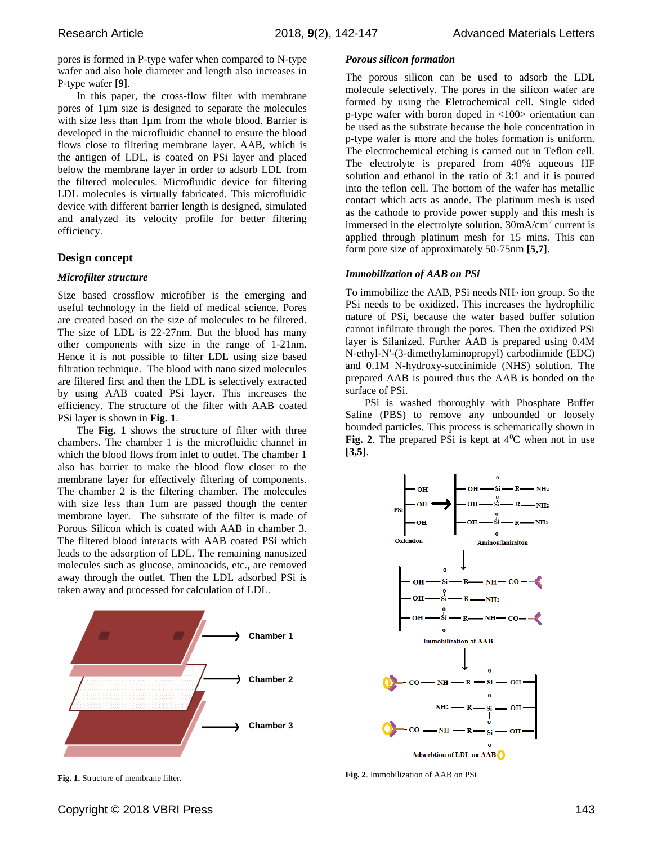pores is formed in P-type wafer when compared to N-type wafer and also hole diameter and length also increases in P-type wafer **[9]**.

In this paper, the cross-flow filter with membrane pores of 1µm size is designed to separate the molecules with size less than 1µm from the whole blood. Barrier is developed in the microfluidic channel to ensure the blood flows close to filtering membrane layer. AAB, which is the antigen of LDL, is coated on PSi layer and placed below the membrane layer in order to adsorb LDL from the filtered molecules. Microfluidic device for filtering LDL molecules is virtually fabricated. This microfluidic device with different barrier length is designed, simulated and analyzed its velocity profile for better filtering efficiency.

# **Design concept**

## *Microfilter structure*

Size based crossflow microfiber is the emerging and useful technology in the field of medical science. Pores are created based on the size of molecules to be filtered. The size of LDL is 22-27nm. But the blood has many other components with size in the range of 1-21nm. Hence it is not possible to filter LDL using size based filtration technique. The blood with nano sized molecules are filtered first and then the LDL is selectively extracted by using AAB coated PSi layer. This increases the efficiency. The structure of the filter with AAB coated PSi layer is shown in **Fig. 1**.

The **Fig. 1** shows the structure of filter with three chambers. The chamber 1 is the microfluidic channel in which the blood flows from inlet to outlet. The chamber 1 also has barrier to make the blood flow closer to the membrane layer for effectively filtering of components. The chamber 2 is the filtering chamber. The molecules with size less than 1um are passed though the center membrane layer. The substrate of the filter is made of Porous Silicon which is coated with AAB in chamber 3. The filtered blood interacts with AAB coated PSi which leads to the adsorption of LDL. The remaining nanosized molecules such as glucose, aminoacids, etc., are removed away through the outlet. Then the LDL adsorbed PSi is taken away and processed for calculation of LDL.



**Fig. 1.** Structure of membrane filter.

*Porous silicon formation*

The porous silicon can be used to adsorb the LDL molecule selectively. The pores in the silicon wafer are formed by using the Eletrochemical cell. Single sided p-type wafer with boron doped in <100> orientation can be used as the substrate because the hole concentration in p-type wafer is more and the holes formation is uniform. The electrochemical etching is carried out in Teflon cell. The electrolyte is prepared from 48% aqueous HF solution and ethanol in the ratio of 3:1 and it is poured into the teflon cell. The bottom of the wafer has metallic contact which acts as anode. The platinum mesh is used as the cathode to provide power supply and this mesh is immersed in the electrolyte solution.  $30mA/cm<sup>2</sup>$  current is applied through platinum mesh for 15 mins. This can form pore size of approximately 50-75nm **[5,7]**.

## *Immobilization of AAB on PSi*

To immobilize the AAB, PSi needs  $NH<sub>2</sub>$  ion group. So the PSi needs to be oxidized. This increases the hydrophilic nature of PSi, because the water based buffer solution cannot infiltrate through the pores. Then the oxidized PSi layer is Silanized. Further AAB is prepared using 0.4M N-ethyl-N'-(3-dimethylaminopropyl) carbodiimide (EDC) and 0.1M N-hydroxy-succinimide (NHS) solution. The prepared AAB is poured thus the AAB is bonded on the surface of PSi.

PSi is washed thoroughly with Phosphate Buffer Saline (PBS) to remove any unbounded or loosely bounded particles. This process is schematically shown in **Fig. 2.** The prepared PSi is kept at  $4^{\circ}$ C when not in use **[3,5]**.



**Fig. 2**. Immobilization of AAB on PSi

Copyright © 2018 VBRI Press 143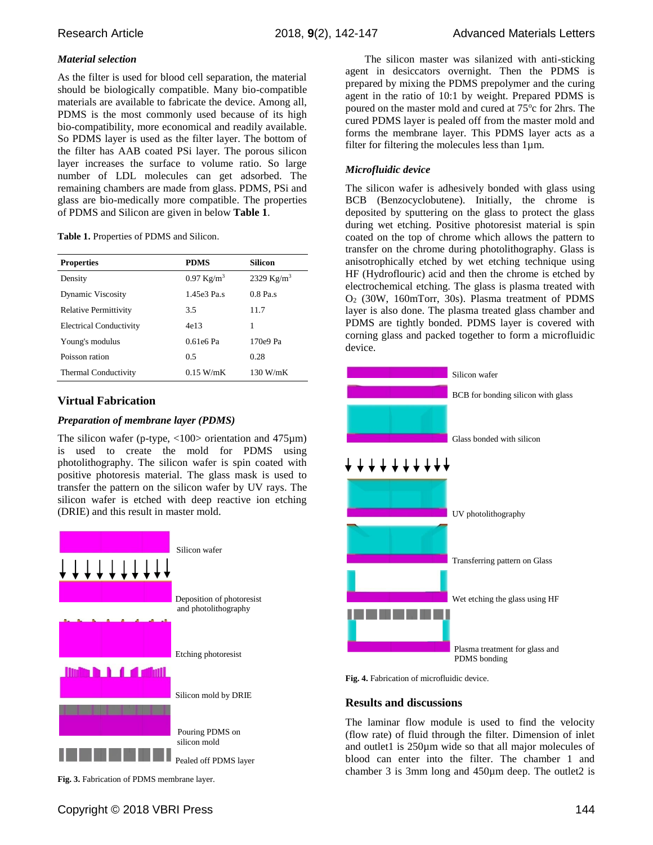# *Material selection*

As the filter is used for blood cell separation, the material should be biologically compatible. Many bio-compatible materials are available to fabricate the device. Among all, PDMS is the most commonly used because of its high bio-compatibility, more economical and readily available. So PDMS layer is used as the filter layer. The bottom of the filter has AAB coated PSi layer. The porous silicon layer increases the surface to volume ratio. So large number of LDL molecules can get adsorbed. The remaining chambers are made from glass. PDMS, PSi and glass are bio-medically more compatible. The properties of PDMS and Silicon are given in below **Table 1**.

### **Table 1.** Properties of PDMS and Silicon.

| <b>Properties</b>              | <b>PDMS</b>           | Silicon       |
|--------------------------------|-----------------------|---------------|
| Density                        | $0.97 \text{ Kg/m}^3$ | 2329 $Kg/m^3$ |
| <b>Dynamic Viscosity</b>       | 1.45e3 Pa.s           | $0.8$ Pa.s    |
| Relative Permittivity          | 3.5                   | 11.7          |
| <b>Electrical Conductivity</b> | 4e13                  | 1             |
| Young's modulus                | $0.61e6$ Pa           | $170e9$ Pa    |
| Poisson ration                 | 0.5                   | 0.28          |
| <b>Thermal Conductivity</b>    | 0.15 W/mK             | $130$ W/mK    |

# **Virtual Fabrication**

## *Preparation of membrane layer (PDMS)*

The silicon wafer (p-type,  $\langle 100 \rangle$  orientation and 475 $\mu$ m) is used to create the mold for PDMS using photolithography. The silicon wafer is spin coated with positive photoresis material. The glass mask is used to transfer the pattern on the silicon wafer by UV rays. The silicon wafer is etched with deep reactive ion etching (DRIE) and this result in master mold.



**Fig. 3.** Fabrication of PDMS membrane layer.

The silicon master was silanized with anti-sticking agent in desiccators overnight. Then the PDMS is prepared by mixing the PDMS prepolymer and the curing agent in the ratio of 10:1 by weight. Prepared PDMS is poured on the master mold and cured at 75°c for 2hrs. The cured PDMS layer is pealed off from the master mold and forms the membrane layer. This PDMS layer acts as a filter for filtering the molecules less than 1µm.

# *Microfluidic device*

The silicon wafer is adhesively bonded with glass using BCB (Benzocyclobutene). Initially, the chrome is deposited by sputtering on the glass to protect the glass during wet etching. Positive photoresist material is spin coated on the top of chrome which allows the pattern to transfer on the chrome during photolithography. Glass is anisotrophically etched by wet etching technique using HF (Hydroflouric) acid and then the chrome is etched by electrochemical etching. The glass is plasma treated with O<sup>2</sup> (30W, 160mTorr, 30s). Plasma treatment of PDMS layer is also done. The plasma treated glass chamber and PDMS are tightly bonded. PDMS layer is covered with corning glass and packed together to form a microfluidic device.



**Fig. 4.** Fabrication of microfluidic device.

## **Results and discussions**

The laminar flow module is used to find the velocity (flow rate) of fluid through the filter. Dimension of inlet and outlet1 is 250µm wide so that all major molecules of blood can enter into the filter. The chamber 1 and chamber 3 is 3mm long and 450µm deep. The outlet2 is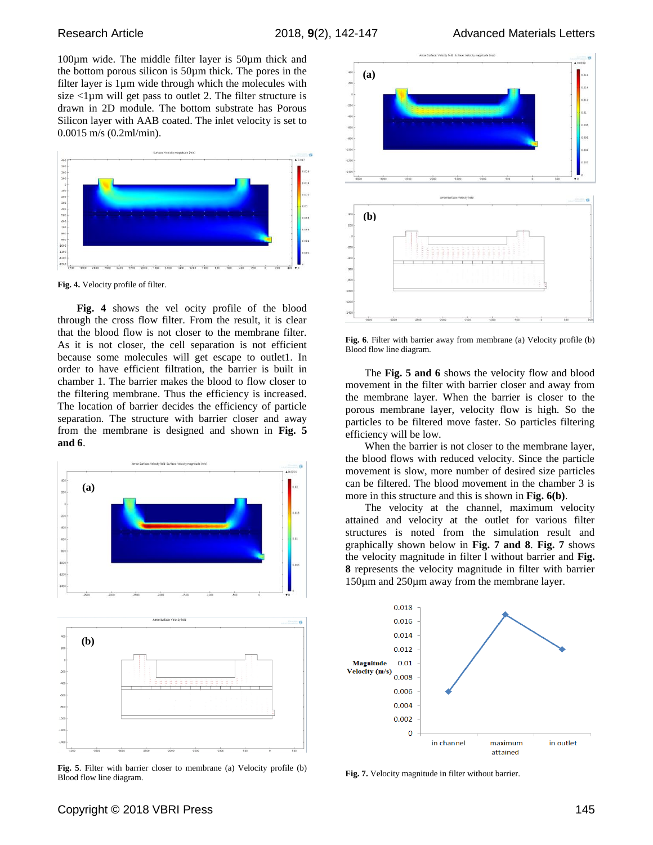100µm wide. The middle filter layer is 50µm thick and the bottom porous silicon is 50µm thick. The pores in the filter layer is 1µm wide through which the molecules with size  $\langle$ 1 $\mu$ m will get pass to outlet 2. The filter structure is drawn in 2D module. The bottom substrate has Porous Silicon layer with AAB coated. The inlet velocity is set to 0.0015 m/s (0.2ml/min).



**Fig. 4.** Velocity profile of filter.

**Fig. 4** shows the vel ocity profile of the blood through the cross flow filter. From the result, it is clear that the blood flow is not closer to the membrane filter. As it is not closer, the cell separation is not efficient because some molecules will get escape to outlet1. In order to have efficient filtration, the barrier is built in chamber 1. The barrier makes the blood to flow closer to the filtering membrane. Thus the efficiency is increased. The location of barrier decides the efficiency of particle separation. The structure with barrier closer and away from the membrane is designed and shown in **Fig. 5 and 6**.





**Fig. 5**. Filter with barrier closer to membrane (a) Velocity profile (b) Blood flow line diagram.



**Fig. 6**. Filter with barrier away from membrane (a) Velocity profile (b) Blood flow line diagram.

The **Fig. 5 and 6** shows the velocity flow and blood movement in the filter with barrier closer and away from the membrane layer. When the barrier is closer to the porous membrane layer, velocity flow is high. So the particles to be filtered move faster. So particles filtering efficiency will be low.

When the barrier is not closer to the membrane layer, the blood flows with reduced velocity. Since the particle movement is slow, more number of desired size particles can be filtered. The blood movement in the chamber 3 is more in this structure and this is shown in **Fig. 6(b)**.

The velocity at the channel, maximum velocity attained and velocity at the outlet for various filter structures is noted from the simulation result and graphically shown below in **Fig. 7 and 8**. **Fig. 7** shows the velocity magnitude in filter l without barrier and **Fig. 8** represents the velocity magnitude in filter with barrier 150µm and 250µm away from the membrane layer.



**Fig. 7.** Velocity magnitude in filter without barrier.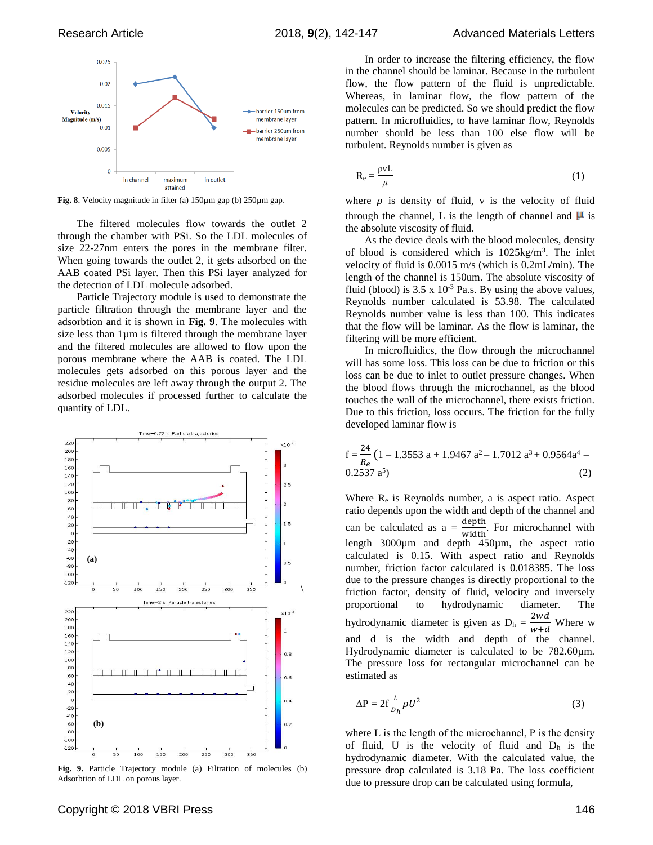

**Fig. 8**. Velocity magnitude in filter (a) 150µm gap (b) 250µm gap.

The filtered molecules flow towards the outlet 2 through the chamber with PSi. So the LDL molecules of size 22-27nm enters the pores in the membrane filter. When going towards the outlet 2, it gets adsorbed on the AAB coated PSi layer. Then this PSi layer analyzed for the detection of LDL molecule adsorbed.

Particle Trajectory module is used to demonstrate the particle filtration through the membrane layer and the adsorbtion and it is shown in **Fig. 9**. The molecules with size less than 1µm is filtered through the membrane layer and the filtered molecules are allowed to flow upon the porous membrane where the AAB is coated. The LDL molecules gets adsorbed on this porous layer and the residue molecules are left away through the output 2. The adsorbed molecules if processed further to calculate the quantity of LDL.



**Fig. 9.** Particle Trajectory module (a) Filtration of molecules (b) Adsorbtion of LDL on porous layer.

In order to increase the filtering efficiency, the flow in the channel should be laminar. Because in the turbulent flow, the flow pattern of the fluid is unpredictable. Whereas, in laminar flow, the flow pattern of the molecules can be predicted. So we should predict the flow pattern. In microfluidics, to have laminar flow, Reynolds number should be less than 100 else flow will be turbulent. Reynolds number is given as

$$
R_e = \frac{\rho v L}{\mu} \tag{1}
$$

where  $\rho$  is density of fluid, v is the velocity of fluid through the channel, L is the length of channel and  $\mu$  is the absolute viscosity of fluid.

As the device deals with the blood molecules, density of blood is considered which is 1025kg/m<sup>3</sup> . The inlet velocity of fluid is 0.0015 m/s (which is 0.2mL/min). The length of the channel is 150um. The absolute viscosity of fluid (blood) is  $3.5 \times 10^{-3}$  Pa.s. By using the above values, Reynolds number calculated is 53.98. The calculated Reynolds number value is less than 100. This indicates that the flow will be laminar. As the flow is laminar, the filtering will be more efficient.

In microfluidics, the flow through the microchannel will has some loss. This loss can be due to friction or this loss can be due to inlet to outlet pressure changes. When the blood flows through the microchannel, as the blood touches the wall of the microchannel, there exists friction. Due to this friction, loss occurs. The friction for the fully developed laminar flow is

$$
f = \frac{24}{R_e} (1 - 1.3553 a + 1.9467 a^2 - 1.7012 a^3 + 0.9564a^4 - 0.2537 a^5)
$$
 (2)

Where R<sup>e</sup> is Reynolds number, a is aspect ratio. Aspect ratio depends upon the width and depth of the channel and can be calculated as  $a = \frac{\text{depth}}{\text{width}}$ . For microchannel with length 3000µm and depth 450µm, the aspect ratio calculated is 0.15. With aspect ratio and Reynolds number, friction factor calculated is 0.018385. The loss due to the pressure changes is directly proportional to the friction factor, density of fluid, velocity and inversely proportional to hydrodynamic diameter. The hydrodynamic diameter is given as  $D_h$  =  $2wd$  $\overline{w+d}$ Where w and d is the width and depth of the channel. Hydrodynamic diameter is calculated to be 782.60µm. The pressure loss for rectangular microchannel can be estimated as

$$
\Delta P = 2f \frac{L}{D_h} \rho U^2 \tag{3}
$$

where L is the length of the microchannel, Ρ is the density of fluid, U is the velocity of fluid and  $D_h$  is the hydrodynamic diameter. With the calculated value, the pressure drop calculated is 3.18 Pa. The loss coefficient due to pressure drop can be calculated using formula,